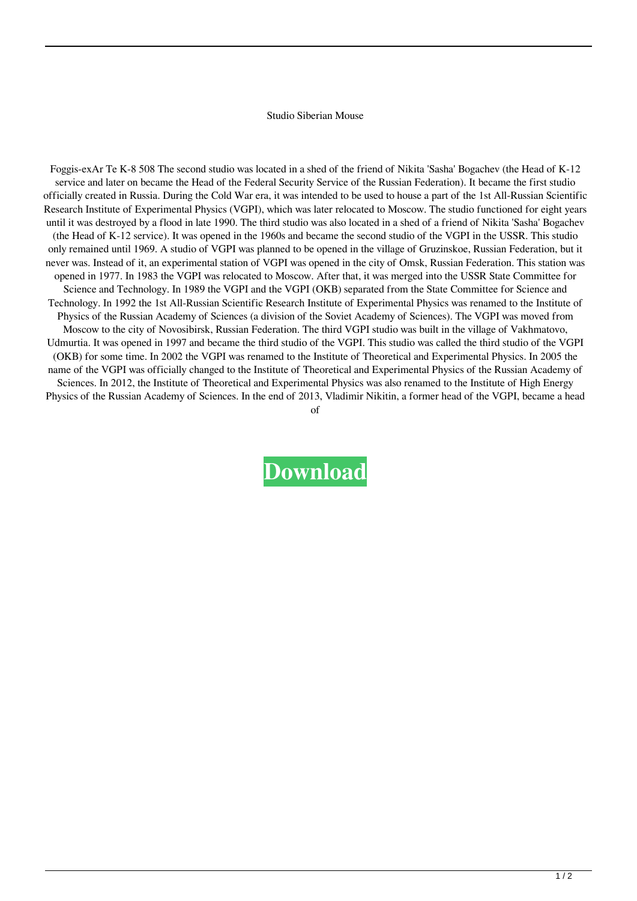## Studio Siberian Mouse

Foggis-exAr Te K-8 508 The second studio was located in a shed of the friend of Nikita 'Sasha' Bogachev (the Head of K-12 service and later on became the Head of the Federal Security Service of the Russian Federation). It became the first studio officially created in Russia. During the Cold War era, it was intended to be used to house a part of the 1st All-Russian Scientific Research Institute of Experimental Physics (VGPI), which was later relocated to Moscow. The studio functioned for eight years until it was destroyed by a flood in late 1990. The third studio was also located in a shed of a friend of Nikita 'Sasha' Bogachev (the Head of K-12 service). It was opened in the 1960s and became the second studio of the VGPI in the USSR. This studio only remained until 1969. A studio of VGPI was planned to be opened in the village of Gruzinskoe, Russian Federation, but it never was. Instead of it, an experimental station of VGPI was opened in the city of Omsk, Russian Federation. This station was opened in 1977. In 1983 the VGPI was relocated to Moscow. After that, it was merged into the USSR State Committee for Science and Technology. In 1989 the VGPI and the VGPI (OKB) separated from the State Committee for Science and Technology. In 1992 the 1st All-Russian Scientific Research Institute of Experimental Physics was renamed to the Institute of Physics of the Russian Academy of Sciences (a division of the Soviet Academy of Sciences). The VGPI was moved from Moscow to the city of Novosibirsk, Russian Federation. The third VGPI studio was built in the village of Vakhmatovo, Udmurtia. It was opened in 1997 and became the third studio of the VGPI. This studio was called the third studio of the VGPI (OKB) for some time. In 2002 the VGPI was renamed to the Institute of Theoretical and Experimental Physics. In 2005 the name of the VGPI was officially changed to the Institute of Theoretical and Experimental Physics of the Russian Academy of Sciences. In 2012, the Institute of Theoretical and Experimental Physics was also renamed to the Institute of High Energy Physics of the Russian Academy of Sciences. In the end of 2013, Vladimir Nikitin, a former head of the VGPI, became a head

## of

**[Download](http://evacdir.com/characterize.epurveyor/ciggie/?ZG93bmxvYWR8YVI1TVhkME0zeDhNVFkxTWpRMk16QTFNSHg4TWpVM05IeDhLRTBwSUhKbFlXUXRZbXh2WnlCYlJtRnpkQ0JIUlU1ZA.newswire=temprite&advisories=U3R1ZGlvIFNpYmVyaWFuIE1vdXNlU3R)**